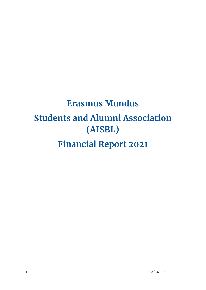# **Erasmus Mundus Students and Alumni Association (AISBL) Financial Report 2021**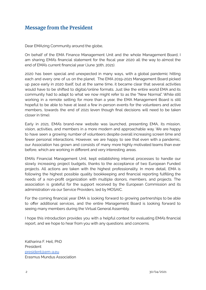# <span id="page-1-0"></span>**Message from the President**

Dear EMAzing Community around the globe,

On behalf of the EMA Finance Management Unit and the whole Management Board, I am sharing EMA's financial statement for the fiscal year 2020 all the way to almost the end of EMA's current financial year (June 30th, 2021).

2020 has been special and unexpected in many ways, with a global pandemic hitting each and every one of us on the planet. The EMA 2019-2021 Management Board picked up pace early in 2020 itself, but at the same time, it became clear that several activities would have to be shifted to digital/online formats. Just like the entire world EMA and its community had to adapt to what we now might refer to as the "New Normal". While still working in a remote setting for more than a year, the EMA Management Board is still hopeful to be able to have at least a few in-person events for the volunteers and active members, towards the end of 2021 (even though final decisions will need to be taken closer in time).

Early in 2021, EMA's brand-new website was launched, presenting EMA, its mission, vision, activities, and members in a more modern and approachable way. We are happy to have seen a growing number of volunteers despite overall increasing screen time and fewer personal interactions. However, we are happy to see that even with a pandemic, our Association has grown and consists of many more highly motivated teams than ever before, which are working in different and very interesting areas.

EMA's Financial Management Unit, kept establishing internal processes to handle our slowly increasing project budgets, thanks to the acceptance of two European Funded projects. All actions are taken with the highest professionality. In more detail, EMA is following the highest possible quality bookkeeping and financial reporting fulfilling the needs of a non-profit organization with multiple donors, members, and projects. The association is grateful for the support received by the European Commission and its administration via our Service Providers, led by MOSAIC.

For the coming financial year EMA is looking forward to growing partnerships to be able to offer additional services, and the entire Management Board is looking forward to seeing many members during the Virtual General Assembly.

I hope this introduction provides you with a helpful context for evaluating EMA's financial report, and we hope to hear from you with any questions and concerns.

Katharina F. Heil, PhD President [president@em-a.eu](mailto:president@em-a.eu) Erasmus Mundus Association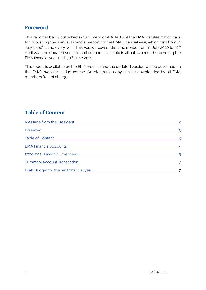# <span id="page-2-0"></span>**Foreword**

This report is being published in fulfillment of Article 28 of the EMA Statutes, which calls for publishing the Annual Financial Report for the EMA Financial year, which runs from  $1<sup>st</sup>$ July to 30 $^{\text{th}}$  June every year. This version covers the time period from 1st July 2020 to 30 $^{\text{th}}$ April 2021. An updated version shall be made available in about two months, covering the EMA financial year, until 30th June 2021.

This report is available on the EMA website and the updated version will be published on the EMA's website in due course. An electronic copy can be downloaded by all EMA members free of charge.

# <span id="page-2-1"></span>**Table of Content**

| Message from the President               |  |
|------------------------------------------|--|
| Foreword                                 |  |
| <b>Table of Content</b>                  |  |
| <b>EMA Financial Accounts</b>            |  |
| 2020-2021 Financial Overview             |  |
| <b>Summary Account Transaction*</b>      |  |
| Draft Budget for the next financial year |  |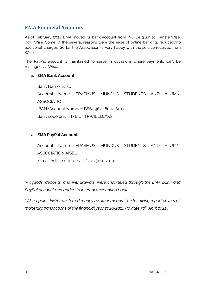## <span id="page-3-0"></span>**EMA Financial Accounts**

As of February 2021, EMA moved its bank account from ING Belgium to TransferWise, now Wise. Some of the several reasons were the ease of online banking, reduced/no additional charges. So far the Association is very happy with the service received from Wise.

The PayPal account is maintained to serve in occasions where payments can't be managed via Wise.

## **1. EMA Bank Account**

Bank Name: Wise Account Name: ERASMUS MUNDUS STUDENTS AND ALUMNI ASSOCIATION IBAN/Account Number: BE61 9671 6002 6017 Bank code (SWIFT/BIC): TRWIBEB1XXX

## **2. EMA PayPal Account**

Account Name: ERASMUS MUNDUS STUDENTS AND ALUMNI ASSOCIATION AISBL

E-mail Address: internal.affairs@em-a.eu

*\*All funds, deposits, and withdrawals, were channeled through the EMA bank and PayPal account and added to internal accounting books.*

*\*\*At no point, EMA transferred money by other means. The following report covers all monetary transactions of the financial year 2020-2021 (to date 30 th April 2021).*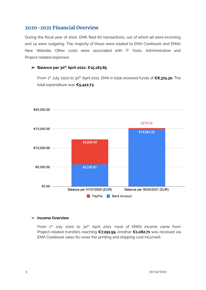## <span id="page-4-0"></span>**2020-2021 Financial Overview**

During the fiscal year of 2020, EMA filed 60 transactions, out of which 46 were incoming and 14 were outgoing. The majority of these were related to EMA Cookbook and EMA's New Website. Other costs were associated with IT Tools, Administrative and Project-related expenses.

## ➢ **Balance per 30 th April 2021: €15,183.85**

From 1<sup>st</sup> July 2020 to 30<sup>th</sup> April 2021, EMA in total received funds of **€8,374.30.** The total expenditure was **€5,422.73.**



#### ➢ **Income Overview**

From  $1<sup>st</sup>$  July 2020 to  $30<sup>th</sup>$  April 2021, most of EMA's income came from Project-related transfers reaching **€7,291.59.** Another **€1,082.71** was received via EMA Cookbook sales (to cover the printing and shipping cost incurred).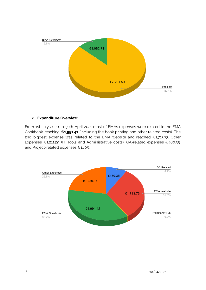

## ➢ **Expenditure Overview**

From 1st July 2020 to 30th April 2021 most of EMA's expenses were related to the EMA Cookbook reaching **€1,991.41** (including the book printing and other related costs). The 2nd biggest expense was related to the EMA website and reached €1,713.73. Other Expenses €1,211.99 (IT Tools and Administrative costs), GA-related expenses €480.35, and Project-related expenses €11.05.